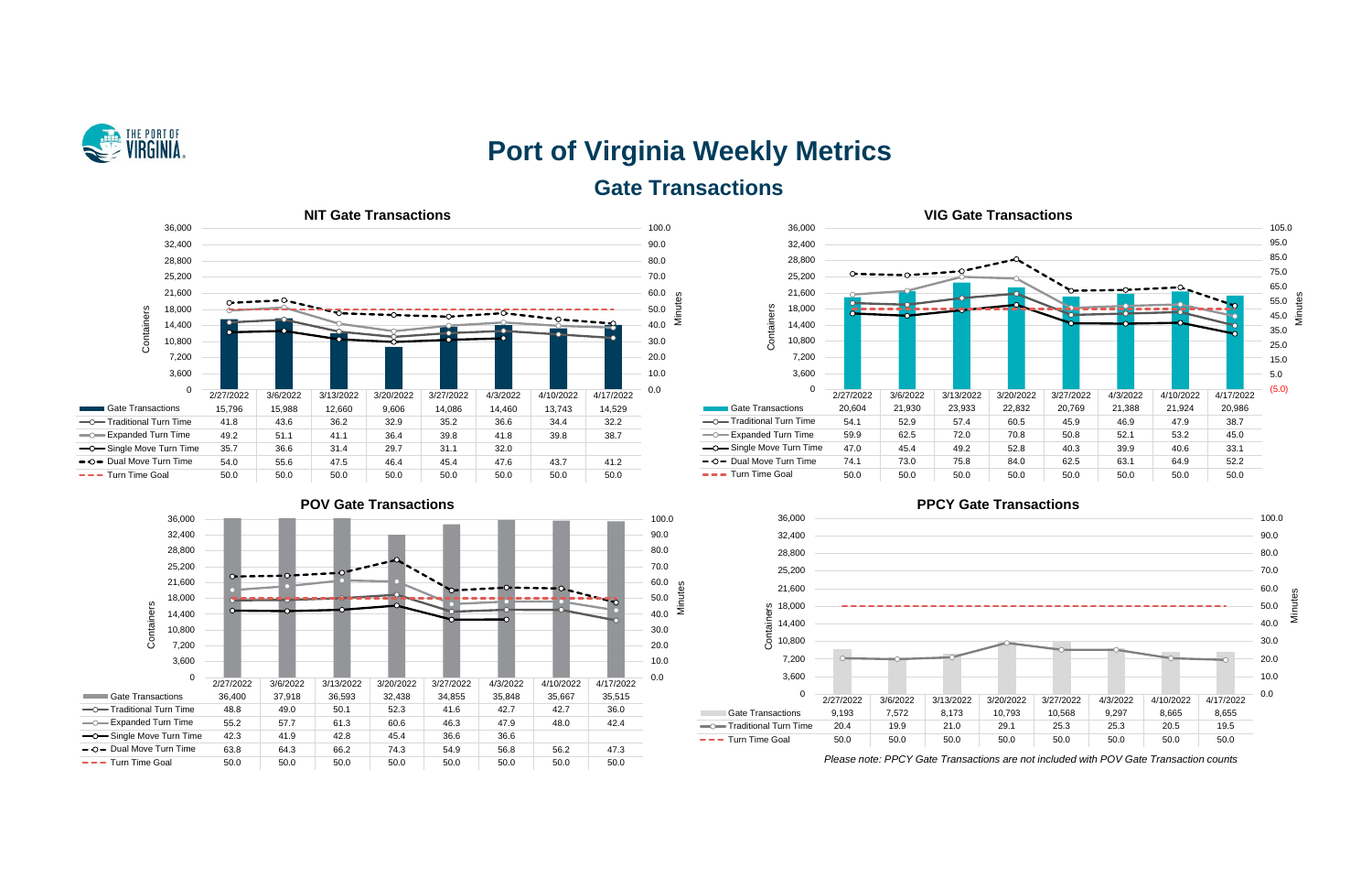

# **Port of Virginia Weekly Metrics Gate Transactions**











*Please note: PPCY Gate Transactions are not included with POV Gate Transaction counts*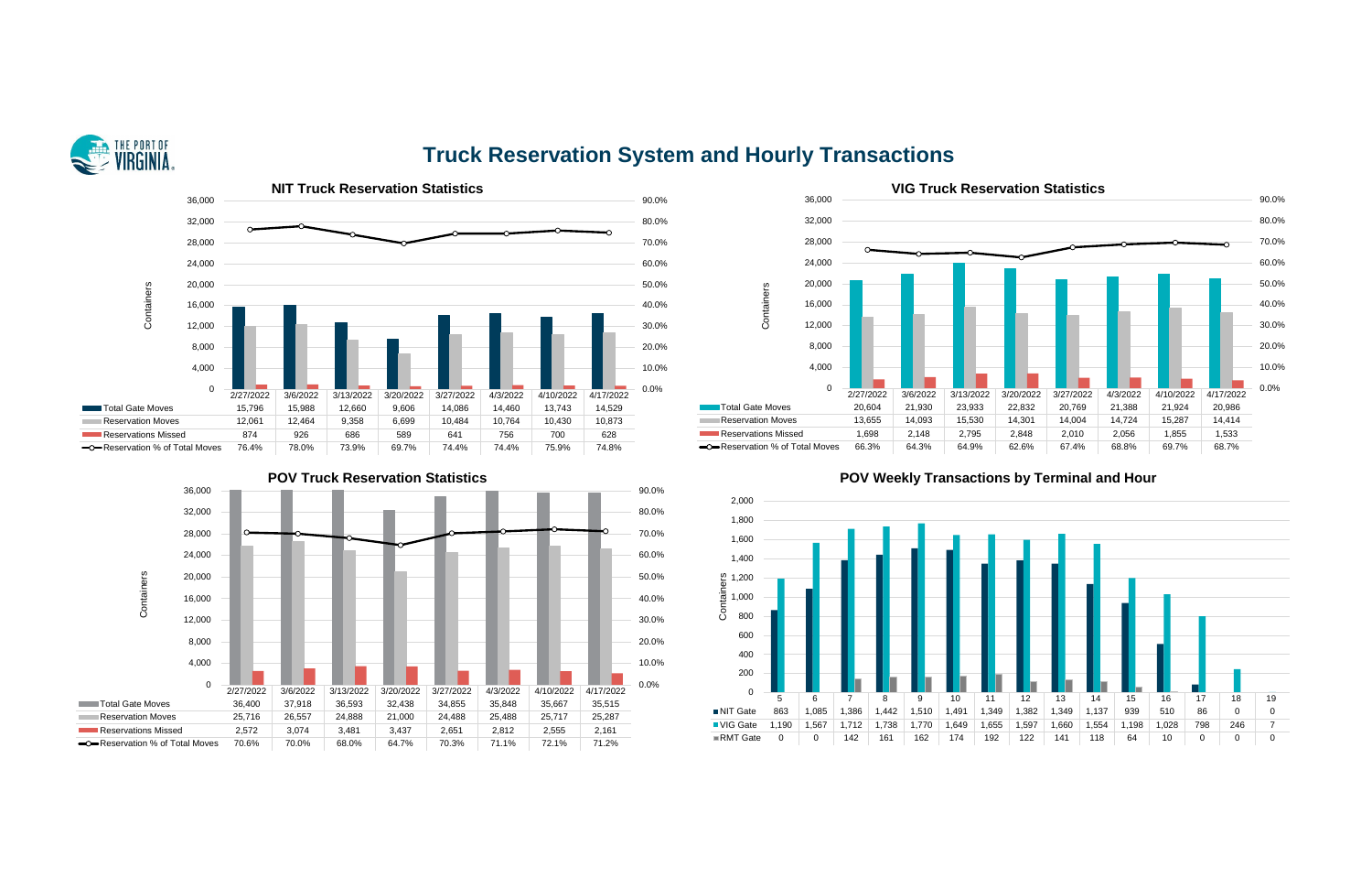

## **Truck Reservation System and Hourly Transactions**







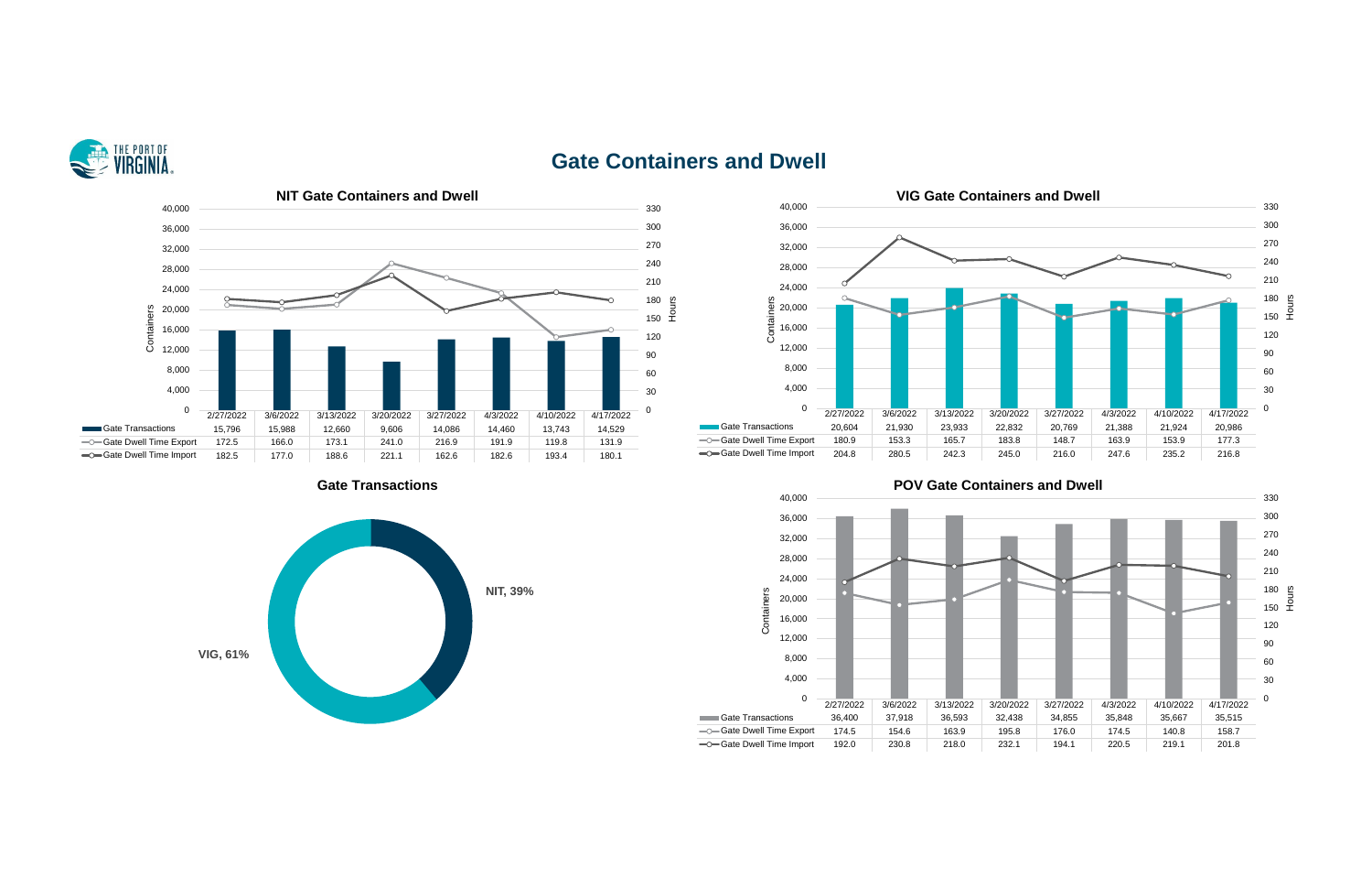

## **Gate Containers and Dwell**